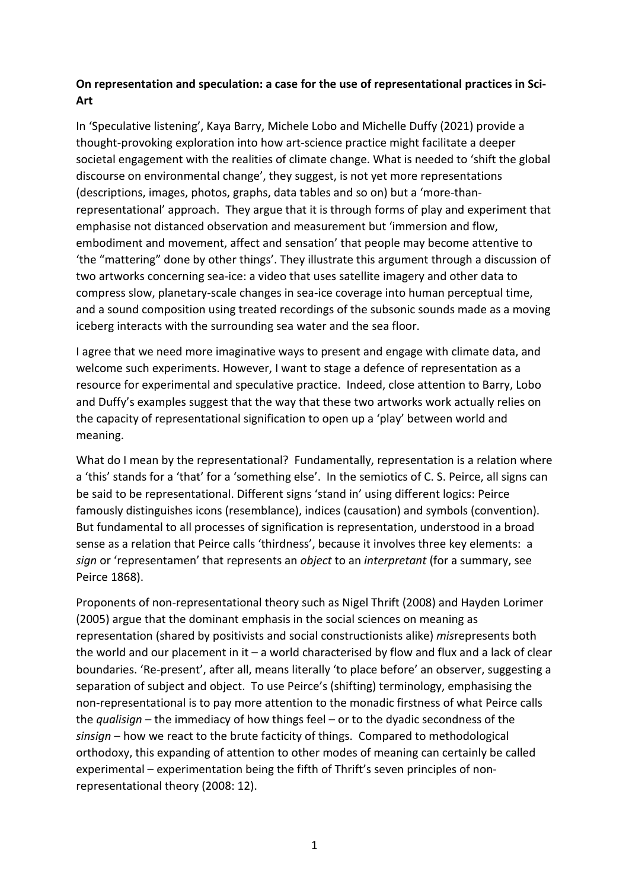## **On representation and speculation: a case for the use of representational practices in Sci-Art**

In 'Speculative listening', Kaya Barry, Michele Lobo and Michelle Duffy (2021) provide a thought-provoking exploration into how art-science practice might facilitate a deeper societal engagement with the realities of climate change. What is needed to 'shift the global discourse on environmental change', they suggest, is not yet more representations (descriptions, images, photos, graphs, data tables and so on) but a 'more-thanrepresentational' approach. They argue that it is through forms of play and experiment that emphasise not distanced observation and measurement but 'immersion and flow, embodiment and movement, affect and sensation' that people may become attentive to 'the "mattering" done by other things'. They illustrate this argument through a discussion of two artworks concerning sea-ice: a video that uses satellite imagery and other data to compress slow, planetary-scale changes in sea-ice coverage into human perceptual time, and a sound composition using treated recordings of the subsonic sounds made as a moving iceberg interacts with the surrounding sea water and the sea floor.

I agree that we need more imaginative ways to present and engage with climate data, and welcome such experiments. However, I want to stage a defence of representation as a resource for experimental and speculative practice. Indeed, close attention to Barry, Lobo and Duffy's examples suggest that the way that these two artworks work actually relies on the capacity of representational signification to open up a 'play' between world and meaning.

What do I mean by the representational? Fundamentally, representation is a relation where a 'this' stands for a 'that' for a 'something else'. In the semiotics of C. S. Peirce, all signs can be said to be representational. Different signs 'stand in' using different logics: Peirce famously distinguishes icons (resemblance), indices (causation) and symbols (convention). But fundamental to all processes of signification is representation, understood in a broad sense as a relation that Peirce calls 'thirdness', because it involves three key elements: a *sign* or 'representamen' that represents an *object* to an *interpretant* (for a summary, see Peirce 1868).

Proponents of non-representational theory such as Nigel Thrift (2008) and Hayden Lorimer (2005) argue that the dominant emphasis in the social sciences on meaning as representation (shared by positivists and social constructionists alike) *mis*represents both the world and our placement in it  $-$  a world characterised by flow and flux and a lack of clear boundaries. 'Re-present', after all, means literally 'to place before' an observer, suggesting a separation of subject and object. To use Peirce's (shifting) terminology, emphasising the non-representational is to pay more attention to the monadic firstness of what Peirce calls the *qualisign* – the immediacy of how things feel – or to the dyadic secondness of the *sinsign* – how we react to the brute facticity of things. Compared to methodological orthodoxy, this expanding of attention to other modes of meaning can certainly be called experimental – experimentation being the fifth of Thrift's seven principles of nonrepresentational theory (2008: 12).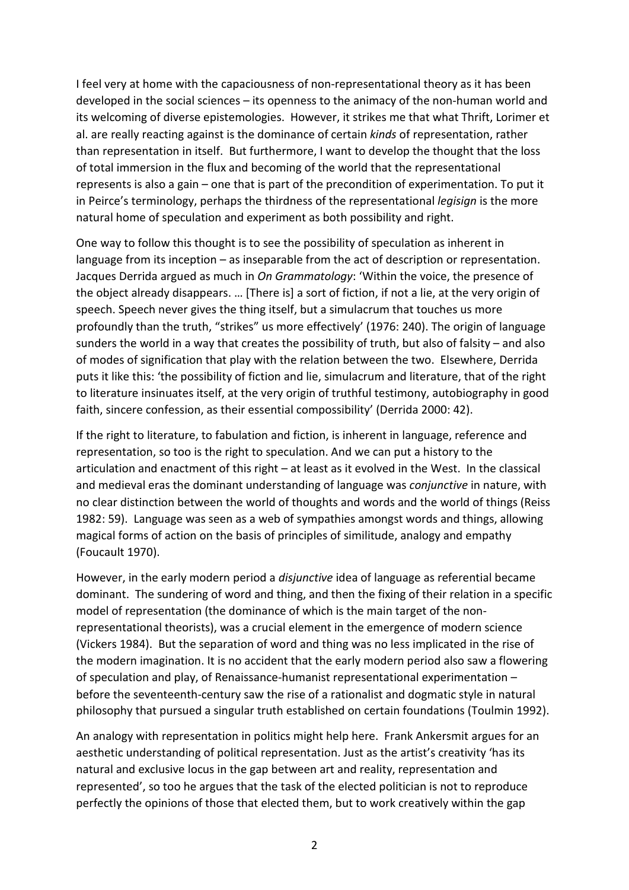I feel very at home with the capaciousness of non-representational theory as it has been developed in the social sciences – its openness to the animacy of the non-human world and its welcoming of diverse epistemologies. However, it strikes me that what Thrift, Lorimer et al. are really reacting against is the dominance of certain *kinds* of representation, rather than representation in itself. But furthermore, I want to develop the thought that the loss of total immersion in the flux and becoming of the world that the representational represents is also a gain – one that is part of the precondition of experimentation. To put it in Peirce's terminology, perhaps the thirdness of the representational *legisign* is the more natural home of speculation and experiment as both possibility and right.

One way to follow this thought is to see the possibility of speculation as inherent in language from its inception – as inseparable from the act of description or representation. Jacques Derrida argued as much in *On Grammatology*: 'Within the voice, the presence of the object already disappears. … [There is] a sort of fiction, if not a lie, at the very origin of speech. Speech never gives the thing itself, but a simulacrum that touches us more profoundly than the truth, "strikes" us more effectively' (1976: 240). The origin of language sunders the world in a way that creates the possibility of truth, but also of falsity – and also of modes of signification that play with the relation between the two. Elsewhere, Derrida puts it like this: 'the possibility of fiction and lie, simulacrum and literature, that of the right to literature insinuates itself, at the very origin of truthful testimony, autobiography in good faith, sincere confession, as their essential compossibility' (Derrida 2000: 42).

If the right to literature, to fabulation and fiction, is inherent in language, reference and representation, so too is the right to speculation. And we can put a history to the articulation and enactment of this right – at least as it evolved in the West. In the classical and medieval eras the dominant understanding of language was *conjunctive* in nature, with no clear distinction between the world of thoughts and words and the world of things (Reiss 1982: 59). Language was seen as a web of sympathies amongst words and things, allowing magical forms of action on the basis of principles of similitude, analogy and empathy (Foucault 1970).

However, in the early modern period a *disjunctive* idea of language as referential became dominant. The sundering of word and thing, and then the fixing of their relation in a specific model of representation (the dominance of which is the main target of the nonrepresentational theorists), was a crucial element in the emergence of modern science (Vickers 1984). But the separation of word and thing was no less implicated in the rise of the modern imagination. It is no accident that the early modern period also saw a flowering of speculation and play, of Renaissance-humanist representational experimentation – before the seventeenth-century saw the rise of a rationalist and dogmatic style in natural philosophy that pursued a singular truth established on certain foundations (Toulmin 1992).

An analogy with representation in politics might help here. Frank Ankersmit argues for an aesthetic understanding of political representation. Just as the artist's creativity 'has its natural and exclusive locus in the gap between art and reality, representation and represented', so too he argues that the task of the elected politician is not to reproduce perfectly the opinions of those that elected them, but to work creatively within the gap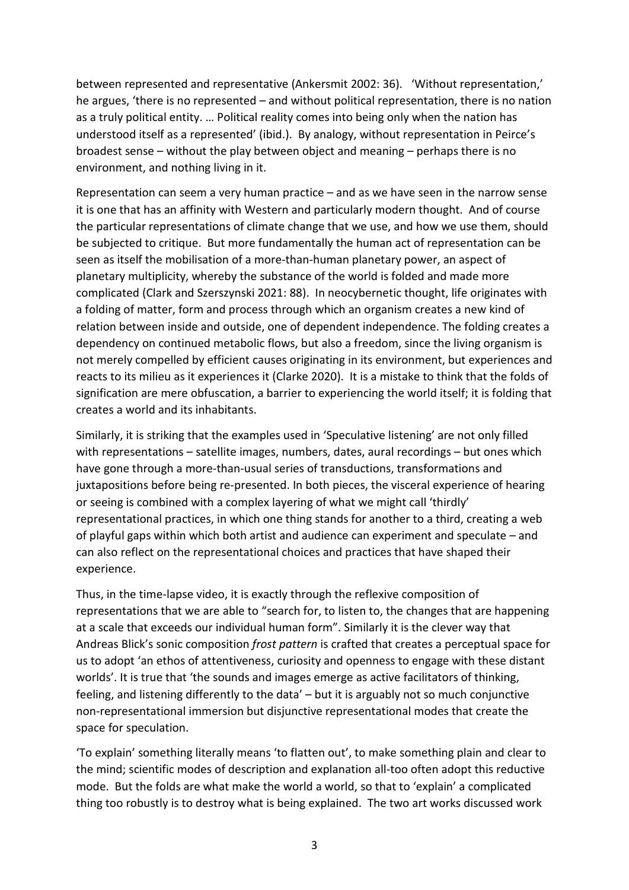between represented and representative (Ankersmit 2002: 36). 'Without representation,' he argues, 'there is no represented – and without political representation, there is no nation as a truly political entity. … Political reality comes into being only when the nation has understood itself as a represented' (ibid.). By analogy, without representation in Peirce's broadest sense – without the play between object and meaning – perhaps there is no environment, and nothing living in it.

Representation can seem a very human practice – and as we have seen in the narrow sense it is one that has an affinity with Western and particularly modern thought. And of course the particular representations of climate change that we use, and how we use them, should be subjected to critique. But more fundamentally the human act of representation can be seen as itself the mobilisation of a more-than-human planetary power, an aspect of planetary multiplicity, whereby the substance of the world is folded and made more complicated (Clark and Szerszynski 2021: 88). In neocybernetic thought, life originates with a folding of matter, form and process through which an organism creates a new kind of relation between inside and outside, one of dependent independence. The folding creates a dependency on continued metabolic flows, but also a freedom, since the living organism is not merely compelled by efficient causes originating in its environment, but experiences and reacts to its milieu as it experiences it (Clarke 2020). It is a mistake to think that the folds of signification are mere obfuscation, a barrier to experiencing the world itself; it is folding that creates a world and its inhabitants.

Similarly, it is striking that the examples used in 'Speculative listening' are not only filled with representations – satellite images, numbers, dates, aural recordings – but ones which have gone through a more-than-usual series of transductions, transformations and juxtapositions before being re-presented. In both pieces, the visceral experience of hearing or seeing is combined with a complex layering of what we might call 'thirdly' representational practices, in which one thing stands for another to a third, creating a web of playful gaps within which both artist and audience can experiment and speculate – and can also reflect on the representational choices and practices that have shaped their experience.

Thus, in the time-lapse video, it is exactly through the reflexive composition of representations that we are able to "search for, to listen to, the changes that are happening at a scale that exceeds our individual human form". Similarly it is the clever way that Andreas Blick's sonic composition *frost pattern* is crafted that creates a perceptual space for us to adopt 'an ethos of attentiveness, curiosity and openness to engage with these distant worlds'. It is true that 'the sounds and images emerge as active facilitators of thinking, feeling, and listening differently to the data' – but it is arguably not so much conjunctive non-representational immersion but disjunctive representational modes that create the space for speculation.

'To explain' something literally means 'to flatten out', to make something plain and clear to the mind; scientific modes of description and explanation all-too often adopt this reductive mode. But the folds are what make the world a world, so that to 'explain' a complicated thing too robustly is to destroy what is being explained. The two art works discussed work